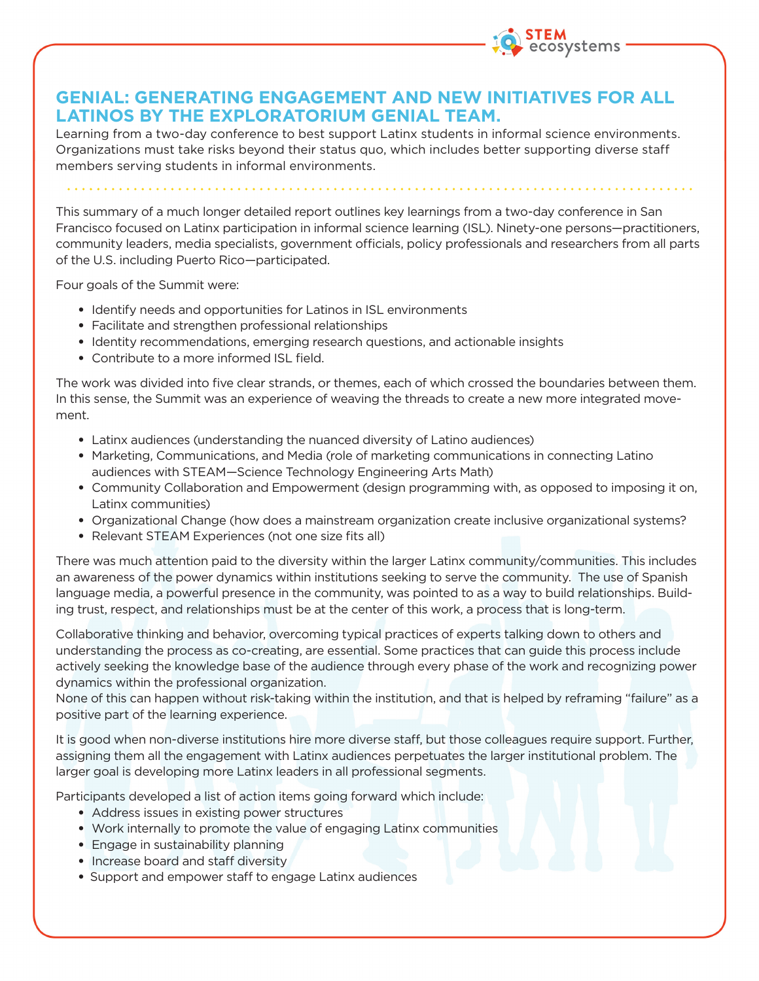

## **GENIAL: GENERATING ENGAGEMENT AND NEW INITIATIVES FOR ALL LATINOS BY THE EXPLORATORIUM GENIAL TEAM.**

Learning from a two-day conference to best support Latinx students in informal science environments. Organizations must take risks beyond their status quo, which includes better supporting diverse staff members serving students in informal environments.

This summary of a much longer detailed report outlines key learnings from a two-day conference in San Francisco focused on Latinx participation in informal science learning (ISL). Ninety-one persons—practitioners, community leaders, media specialists, government officials, policy professionals and researchers from all parts of the U.S. including Puerto Rico—participated.

Four goals of the Summit were:

- Identify needs and opportunities for Latinos in ISL environments
- Facilitate and strengthen professional relationships
- Identity recommendations, emerging research questions, and actionable insights
- Contribute to a more informed ISL field.

The work was divided into five clear strands, or themes, each of which crossed the boundaries between them. In this sense, the Summit was an experience of weaving the threads to create a new more integrated movement.

- Latinx audiences (understanding the nuanced diversity of Latino audiences)
- Marketing, Communications, and Media (role of marketing communications in connecting Latino audiences with STEAM—Science Technology Engineering Arts Math)
- Community Collaboration and Empowerment (design programming with, as opposed to imposing it on, Latinx communities)
- Organizational Change (how does a mainstream organization create inclusive organizational systems?
- Relevant STEAM Experiences (not one size fits all)

There was much attention paid to the diversity within the larger Latinx community/communities. This includes an awareness of the power dynamics within institutions seeking to serve the community. The use of Spanish language media, a powerful presence in the community, was pointed to as a way to build relationships. Building trust, respect, and relationships must be at the center of this work, a process that is long-term.

Collaborative thinking and behavior, overcoming typical practices of experts talking down to others and understanding the process as co-creating, are essential. Some practices that can guide this process include actively seeking the knowledge base of the audience through every phase of the work and recognizing power dynamics within the professional organization.

None of this can happen without risk-taking within the institution, and that is helped by reframing "failure" as a positive part of the learning experience.

It is good when non-diverse institutions hire more diverse staff, but those colleagues require support. Further, assigning them all the engagement with Latinx audiences perpetuates the larger institutional problem. The larger goal is developing more Latinx leaders in all professional segments.

Participants developed a list of action items going forward which include:

- Address issues in existing power structures
- Work internally to promote the value of engaging Latinx communities
- Engage in sustainability planning
- Increase board and staff diversity
- Support and empower staff to engage Latinx audiences